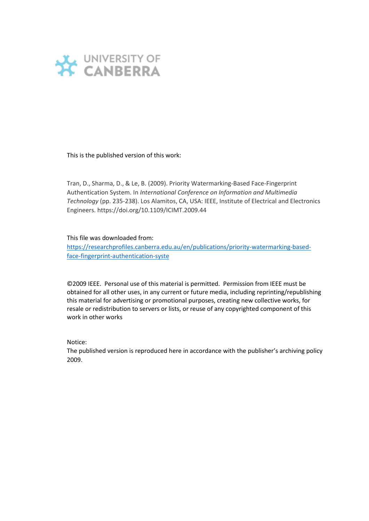

This is the published version of this work:

Tran, D., Sharma, D., & Le, B. (2009). Priority Watermarking-Based Face-Fingerprint Authentication System. In *International Conference on Information and Multimedia Technology* (pp. 235-238). Los Alamitos, CA, USA: IEEE, Institute of Electrical and Electronics Engineers. https://doi.org/10.1109/ICIMT.2009.44

This file was downloaded from:

[https://researchprofiles.canberra.edu.au/en/publications/priority-watermarking-based](https://researchprofiles.canberra.edu.au/en/publications/priority-watermarking-based-face-fingerprint-authentication-syste)[face-fingerprint-authentication-syste](https://researchprofiles.canberra.edu.au/en/publications/priority-watermarking-based-face-fingerprint-authentication-syste)

©2009 IEEE. Personal use of this material is permitted. Permission from IEEE must be obtained for all other uses, in any current or future media, including reprinting/republishing this material for advertising or promotional purposes, creating new collective works, for resale or redistribution to servers or lists, or reuse of any copyrighted component of this work in other works

Notice:

The published version is reproduced here in accordance with the publisher's archiving policy 2009.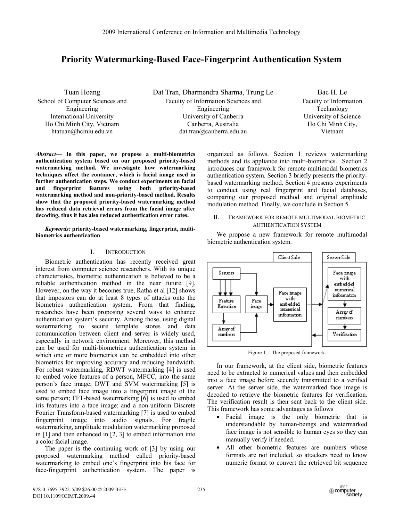# **Priority Watermarking-Based Face-Fingerprint Authentication System**

Tuan Hoang School of Computer Sciences and Engineering International University Ho Chi Minh City, Vietnam htatuan@hcmiu.edu.vn

Dat Tran, Dharmendra Sharma, Trung Le Faculty of Information Sciences and Engineering University of Canberra Canberra, Australia dat.tran@canberra.edu.au

Bac H. Le Faculty of Information Technology University of Science Ho Chi Minh City, Vietnam

*Abstract***— In this paper, we propose a multi-biometrics authentication system based on our proposed priority-based watermarking method. We investigate how watermarking techniques affect the container, which is facial image used in further authentication steps. We conduct experiments on facial and fingerprint features using both priority-based watermarking method and non-priority-based method. Results show that the proposed priority-based watermarking method has reduced data retrieval errors from the facial image after decoding, thus it has also reduced authentication error rates.** 

*Keywords:* **priority-based watermarking, fingerprint, multibiometrics authentication**

# I. INTRODUCTION

Biometric authentication has recently received great interest from computer science researchers. With its unique characteristics, biometric authentication is believed to be a reliable authentication method in the near future [9]. However, on the way it becomes true, Ratha et al [12] shows that impostors can do at least 8 types of attacks onto the biometrics authentication system. From that finding, researches have been proposing several ways to enhance authentication system's security. Among those, using digital watermarking to secure template stores and data communication between client and server is widely used, especially in network environment. Moreover, this method can be used for multi-biometrics authentication system in which one or more biometrics can be embedded into other biometrics for improving accuracy and reducing bandwidth. For robust watermarking, RDWT watermarking [4] is used to embed voice features of a person, MFCC, into the same person's face image; DWT and SVM watermarking [5] is used to embed face image into a fingerprint image of the same person; FFT-based watermarking [6] is used to embed iris features into a face image; and a non-uniform Discrete Fourier Transform-based watermarking [7] is used to embed fingerprint image into audio signals. For fragile watermarking, amplitude modulation watermarking proposed in [1] and then enhanced in [2, 3] to embed information into a color facial image.

The paper is the continuing work of [3] by using our proposed watermarking method called priority-based watermarking to embed one's fingerprint into his face for face-fingerprint authentication system. The paper is

organized as follows. Section 1 reviews watermarking methods and its appliance into multi-biometrics. Section 2 introduces our framework for remote multimodal biometrics authentication system. Section 3 briefly presents the prioritybased watermarking method. Section 4 presents experiments to conduct using real fingerprint and facial databases, comparing our proposed method and original amplitude modulation method. Finally, we conclude in Section 5.

# II. FRAMEWORK FOR REMOTE MULTIMODAL BIOMETRIC AUTHENTICATION SYSTEM

We propose a new framework for remote multimodal biometric authentication system.



Figure 1. The proposed framework.

In our framework, at the client side, biometric features need to be extracted to numerical values and then embedded into a face image before securely transmitted to a verified server. At the server side, the watermarked face image is decoded to retrieve the biometric features for verification. The verification result is then sent back to the client side. This framework has some advantages as follows

- Facial image is the only biometric that is understandable by human-beings and watermarked face image is not sensible to human eyes so they can manually verify if needed.
- All other biometric features are numbers whose formats are not included, so attackers need to know numeric format to convert the retrieved bit sequence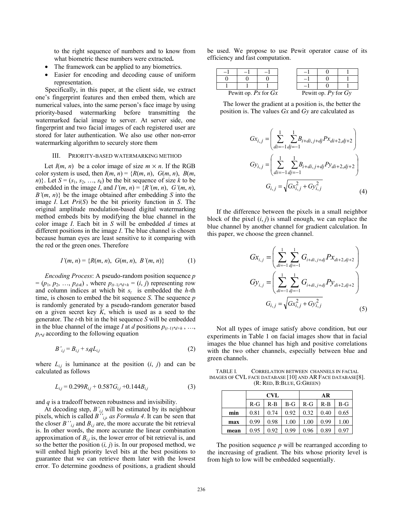to the right sequence of numbers and to know from what biometric these numbers were extracted**.**

- The framework can be applied to any biometrics.
- Easier for encoding and decoding cause of uniform representation.

Specifically, in this paper, at the client side, we extract one's fingerprint features and then embed them, which are numerical values, into the same person's face image by using priority-based watermarking before transmitting the watermarked facial image to server. At server side, one fingerprint and two facial images of each registered user are stored for later authentication. We also use other non-error watermarking algorithm to securely store them

#### III. PRIORITY-BASED WATERMARKING METHOD

Let  $I(m, n)$  be a color image of size  $m \times n$ . If the RGB color system is used, then  $I(m, n) = \{R(m, n), G(m, n), B(m, n)\}$ *n*)}. Let  $S = (s_1, s_2, \ldots, s_k)$  be the bit sequence of size *k* to be embedded in the image *I*, and  $I'(m, n) = \{R'(m, n), G'(m, n),\}$ *B'*(*m*, *n*)} be the image obtained after embedding *S* into the image *I*. Let *Pri*(*S*) be the bit priority function in *S*. The original amplitude modulation-based digital watermarking method embeds bits by modifying the blue channel in the color image *I*. Each bit in *S* will be embedded *d* times at different positions in the image *I*. The blue channel is chosen because human eyes are least sensitive to it comparing with the red or the green ones. Therefore

$$
I'(m, n) = \{R(m, n), G(m, n), B'(m, n)\}\tag{1}
$$

*Encoding Process*: A pseudo-random position sequence *p*  $= (p_1, p_2, ..., p_{d}^x)$ , where  $p_{(t-1)^*d+h} = (i, j)$  representing row and column indices at which bit  $s_t$  is embedded the  $h$ -th time, is chosen to embed the bit sequence *S*. The sequence *p* is randomly generated by a pseudo-random generator based on a given secret key *K*, which is used as a seed to the generator. The *t*-th bit in the bit sequence *S* will be embedded in the blue channel of the image *I* at *d* positions  $p_{(t-1)*d+h}$ , …,  $p_{t*d}$  according to the following equation

$$
B'_{ij} = B_{ij} + s_i q L_{ij} \tag{2}
$$

where  $L_{i,j}$  is luminance at the position  $(i, j)$  and can be calculated as follows

$$
L_{i,j} = 0.299R_{i,j} + 0.587G_{i,j} + 0.144B_{i,j}
$$
 (3)

and *q* is a tradeoff between robustness and invisibility.

At decoding step,  $B'_{i,j}$  will be estimated by its neighbour pixels, which is called *B''i,j, as Formula 4*. It can be seen that the closer  $B''_{i,j}$  and  $B_{i,j}$  are, the more accurate the bit retrieval is. In other words, the more accurate the linear combination approximation of  $B_{i,j}$  is, the lower error of bit retrieval is, and so the better the position  $(i, j)$  is. In our proposed method, we will embed high priority level bits at the best positions to guarantee that we can retrieve them later with the lowest error. To determine goodness of positions, a gradient should

be used. We propose to use Pewit operator cause of its efficiency and fast computation.

| Pewitt op. $Px$ for $Gx$ |  |  | Pewitt op. $Py$ for $Gy$ |  |  |
|--------------------------|--|--|--------------------------|--|--|

The lower the gradient at a position is, the better the position is. The values *Gx* and *Gy* are calculated as

$$
Gx_{i,j} = \left(\sum_{di=-1}^{1} \sum_{dj=-1}^{1} B_{i+di, j+dj} P x_{di+2, dj+2}\right)
$$

$$
Gy_{i,j} = \left(\sum_{di=-1}^{1} \sum_{dj=-1}^{1} B_{i+di, j+dj} P y_{di+2, dj+2}\right)
$$

$$
G_{i,j} = \sqrt{Gx_{i,j}^{2} + Gy_{i,j}^{2}}
$$
(4)

If the difference between the pixels in a small neighbor block of the pixel  $(i, j)$  is small enough, we can replace the blue channel by another channel for gradient calculation. In this paper, we choose the green channel.

$$
Gx_{i,j} = \left(\sum_{di=-1}^{1} \sum_{dj=-1}^{1} G_{i+di,j+dj} P x_{di+2,dj+2}\right)
$$
  
\n
$$
Gy_{i,j} = \left(\sum_{di=-1}^{1} \sum_{dj=-1}^{1} G_{i+di,j+dj} P y_{di+2,dj+2}\right)
$$
  
\n
$$
G_{i,j} = \sqrt{Gx_{i,j}^2 + Gy_{i,j}^2}
$$
\n(5)

Not all types of image satisfy above condition, but our experiments in Table 1 on facial images show that in facial images the blue channel has high and positive correlations with the two other channels, especially between blue and green channels.

TABLE I. CORRELATION BETWEEN CHANNELS IN FACIAL IMAGES OF CVL FACE DATABASE [10] AND AR FACE DATABASE[8]. (R: RED, B:BLUE, G:GREEN)

|      | <b>CVL</b> |         |       | ΑR    |         |       |
|------|------------|---------|-------|-------|---------|-------|
|      | $R-G$      | $R - B$ | $B-G$ | $R-G$ | $R - B$ | $B-G$ |
| min  | 0.81       | 0.74    | 0.92  | 0.32  | 0.40    | 0.65  |
| max  | 0.99       | 0.98    | 1.00  | 1.00  | 0.99    | 1.00  |
| mean | 0.95       | 0.92    | 0.99  | 0.96  | 0.89    | 0.97  |

The position sequence *p* will be rearranged according to the increasing of gradient. The bits whose priority level is from high to low will be embedded sequentially.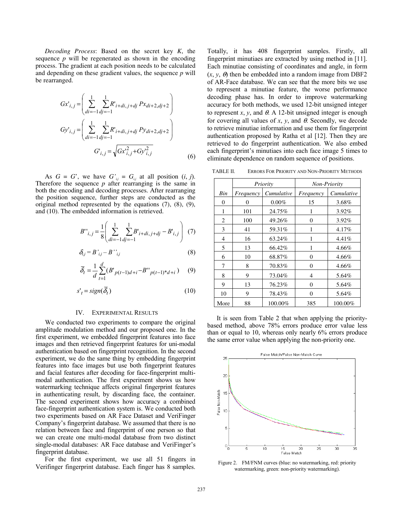*Decoding Process*: Based on the secret key *K*, the sequence *p* will be regenerated as shown in the encoding process. The gradient at each position needs to be calculated and depending on these gradient values, the sequence *p* will be rearranged.

$$
Gx^{i}_{i,j} = \left(\sum_{di=-1}^{1} \sum_{dj=-1}^{1} R^{i}_{i+di,j+dj} P x_{di+2,dj+2}\right)
$$
  
\n
$$
Gy^{i}_{i,j} = \left(\sum_{di=-1}^{1} \sum_{dj=-1}^{1} R^{i}_{i+di,j+dj} P y_{di+2,dj+2}\right)
$$
  
\n
$$
G^{i}_{i,j} = \sqrt{Gx^{i}_{i,j}^2 + Gy^{i}_{i,j}^2}
$$
\n(6)

As  $G = G'$ , we have  $G'_{ij} = G_{ij}$  at all position  $(i, j)$ . Therefore the sequence *p* after rearranging is the same in both the encoding and decoding processes. After rearranging the position sequence, further steps are conducted as the original method represented by the equations (7), (8), (9), and (10). The embedded information is retrieved.

$$
B^{\prime\prime}_{i,j} = \frac{1}{8} \left( \sum_{di=-1}^{1} \sum_{dj=-1}^{1} B^{\prime}_{i+di,j+dj} - B^{\prime}_{i,j} \right) (7)
$$

$$
\delta_{i,j} = B'_{i,j} - B''_{i,j} \tag{8}
$$

$$
\overline{\delta}_t = \frac{1}{d} \sum_{t=1}^d (B'_{p(t-1)d+i} - B''_{p(t-1)*d+i}) \tag{9}
$$

$$
s'_t = sign(\overline{\delta}_t) \tag{10}
$$

# IV. EXPERIMENTAL RESULTS

We conducted two experiments to compare the original amplitude modulation method and our proposed one. In the first experiment, we embedded fingerprint features into face images and then retrieved fingerprint features for uni-modal authentication based on fingerprint recognition. In the second experiment, we do the same thing by embedding fingerprint features into face images but use both fingerprint features and facial features after decoding for face-fingerprint multimodal authentication. The first experiment shows us how watermarking technique affects original fingerprint features in authenticating result, by discarding face, the container. The second experiment shows how accuracy a combined face-fingerprint authentication system is. We conducted both two experiments based on AR Face Dataset and VeriFinger Company's fingerprint database. We assumed that there is no relation between face and fingerprint of one person so that we can create one multi-modal database from two distinct single-modal databases: AR Face database and VeriFinger's fingerprint database.

For the first experiment, we use all 51 fingers in Verifinger fingerprint database. Each finger has 8 samples. Totally, it has 408 fingerprint samples. Firstly, all fingerprint minutiaes are extracted by using method in [11]. Each minutiae consisting of coordinates and angle, in form  $(x, y, \theta)$  then be embedded into a random image from DBF2 of AR-Face database. We can see that the more bits we use to represent a minutiae feature, the worse performance decoding phase has. In order to improve watermarking accuracy for both methods, we used 12-bit unsigned integer to represent *x*, *y*, and  $\theta$ . A 12-bit unsigned integer is enough for covering all values of  $x$ ,  $y$ , and  $\theta$ . Secondly, we decode to retrieve minutiae information and use them for fingerprint authentication proposed by Ratha et al [12]. Then they are retrieved to do fingerprint authentication. We also embed each fingerprint's minutiaes into each face image 5 times to eliminate dependence on random sequence of positions.

TABLE II. ERRORS FOR PRIORITY AND NON-PRIORITY METHODS

|                |           | Priority   | Non-Priority |            |  |
|----------------|-----------|------------|--------------|------------|--|
| <b>Bin</b>     | Frequency | Cumulative | Frequency    | Cumulative |  |
| $\Omega$       | $\theta$  | 0.00%      | 15           | 3.68%      |  |
| 1              | 101       | 24.75%     | 1            | $3.92\%$   |  |
| $\overline{c}$ | 100       | 49.26%     | $\Omega$     | 3.92%      |  |
| 3              | 41        | 59.31%     | 1            | 4.17%      |  |
| 4              | 16        | 63.24%     | 1            | $4.41\%$   |  |
| 5              | 13        | 66.42%     | 1            | 4.66%      |  |
| 6              | 10        | 68.87%     | $\Omega$     | 4.66%      |  |
| 7              | 8         | 70.83%     | 0            | $4.66\%$   |  |
| 8              | 9         | 73.04%     | 4            | 5.64%      |  |
| 9              | 13        | 76.23%     | 0            | 5.64%      |  |
| 10             | 9         | 78.43%     | 0            | 5.64%      |  |
| More           | 88        | 100.00%    | 385          | 100.00%    |  |

It is seen from Table 2 that when applying the prioritybased method, above 78% errors produce error value less than or equal to 10, whereas only nearly 6% errors produce the same error value when applying the non-priority one.



Figure 2. FM/FNM curves (blue: no watermarking, red: priority watermarking, green: non-priority watermarking).